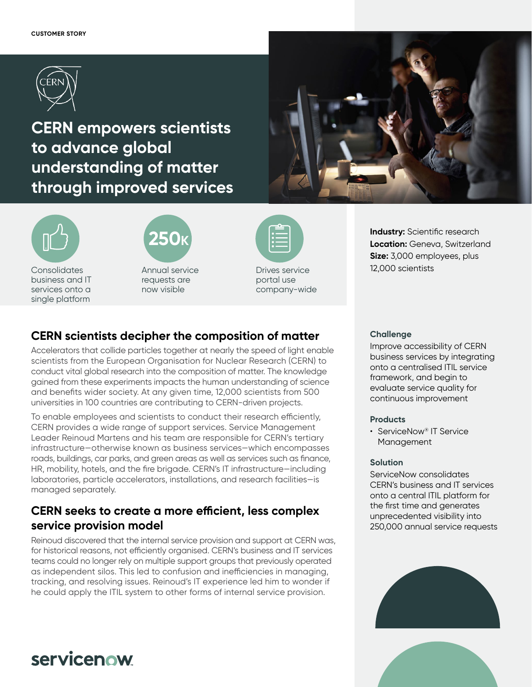

**CERN empowers scientists to advance global understanding of matter through improved services**







Annual service requests are now visible

| p<br>$\mathbf{ii}$ |  |
|--------------------|--|
|                    |  |
|                    |  |

Drives service portal use company-wide

### **Industry:** Scientific research **Location:** Geneva, Switzerland **Size:** 3,000 employees, plus 12,000 scientists

### **CERN scientists decipher the composition of matter**

Accelerators that collide particles together at nearly the speed of light enable scientists from the European Organisation for Nuclear Research (CERN) to conduct vital global research into the composition of matter. The knowledge gained from these experiments impacts the human understanding of science and benefits wider society. At any given time, 12,000 scientists from 500 universities in 100 countries are contributing to CERN-driven projects.

To enable employees and scientists to conduct their research efficiently, CERN provides a wide range of support services. Service Management Leader Reinoud Martens and his team are responsible for CERN's tertiary infrastructure—otherwise known as business services—which encompasses roads, buildings, car parks, and green areas as well as services such as finance, HR, mobility, hotels, and the fire brigade. CERN's IT infrastructure—including laboratories, particle accelerators, installations, and research facilities—is managed separately.

### **CERN seeks to create a more efficient, less complex service provision model**

Reinoud discovered that the internal service provision and support at CERN was, for historical reasons, not efficiently organised. CERN's business and IT services teams could no longer rely on multiple support groups that previously operated as independent silos. This led to confusion and inefficiencies in managing, tracking, and resolving issues. Reinoud's IT experience led him to wonder if he could apply the ITIL system to other forms of internal service provision.

### **Challenge**

Improve accessibility of CERN business services by integrating onto a centralised ITIL service framework, and begin to evaluate service quality for continuous improvement

### **Products**

• ServiceNow® IT Service Management

### **Solution**

ServiceNow consolidates CERN's business and IT services onto a central ITIL platform for the first time and generates unprecedented visibility into 250,000 annual service requests





# servicenow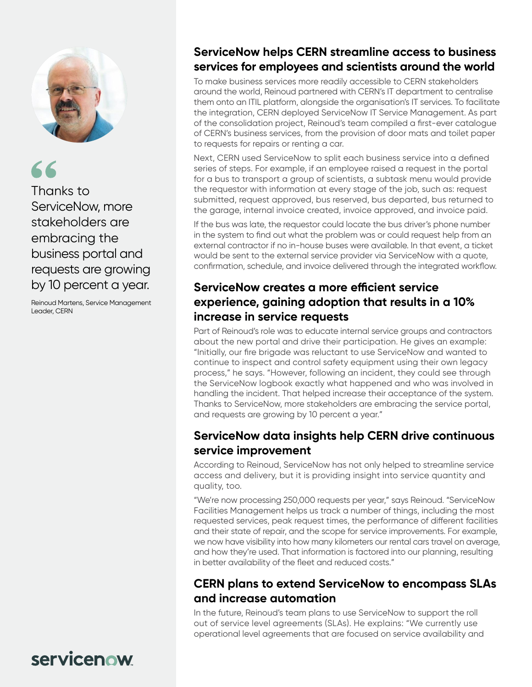

Thanks to ServiceNow, more stakeholders are embracing the business portal and requests are growing by 10 percent a year.

Reinoud Martens, Service Management Leader, CERN

# **ServiceNow helps CERN streamline access to business services for employees and scientists around the world**

To make business services more readily accessible to CERN stakeholders around the world, Reinoud partnered with CERN's IT department to centralise them onto an ITIL platform, alongside the organisation's IT services. To facilitate the integration, CERN deployed ServiceNow IT Service Management. As part of the consolidation project, Reinoud's team compiled a first-ever catalogue of CERN's business services, from the provision of door mats and toilet paper to requests for repairs or renting a car.

Next, CERN used ServiceNow to split each business service into a defined series of steps. For example, if an employee raised a request in the portal for a bus to transport a group of scientists, a subtask menu would provide the requestor with information at every stage of the job, such as: request submitted, request approved, bus reserved, bus departed, bus returned to the garage, internal invoice created, invoice approved, and invoice paid.

If the bus was late, the requestor could locate the bus driver's phone number in the system to find out what the problem was or could request help from an external contractor if no in-house buses were available. In that event, a ticket would be sent to the external service provider via ServiceNow with a quote, confirmation, schedule, and invoice delivered through the integrated workflow.

### **ServiceNow creates a more efficient service experience, gaining adoption that results in a 10% increase in service requests**

Part of Reinoud's role was to educate internal service groups and contractors about the new portal and drive their participation. He gives an example: "Initially, our fire brigade was reluctant to use ServiceNow and wanted to continue to inspect and control safety equipment using their own legacy process," he says. "However, following an incident, they could see through the ServiceNow logbook exactly what happened and who was involved in handling the incident. That helped increase their acceptance of the system. Thanks to ServiceNow, more stakeholders are embracing the service portal, and requests are growing by 10 percent a year."

## **ServiceNow data insights help CERN drive continuous service improvement**

According to Reinoud, ServiceNow has not only helped to streamline service access and delivery, but it is providing insight into service quantity and quality, too.

"We're now processing 250,000 requests per year," says Reinoud. "ServiceNow Facilities Management helps us track a number of things, including the most requested services, peak request times, the performance of different facilities and their state of repair, and the scope for service improvements. For example, we now have visibility into how many kilometers our rental cars travel on average, and how they're used. That information is factored into our planning, resulting in better availability of the fleet and reduced costs."

## **CERN plans to extend ServiceNow to encompass SLAs and increase automation**

In the future, Reinoud's team plans to use ServiceNow to support the roll out of service level agreements (SLAs). He explains: "We currently use operational level agreements that are focused on service availability and

# servicenow